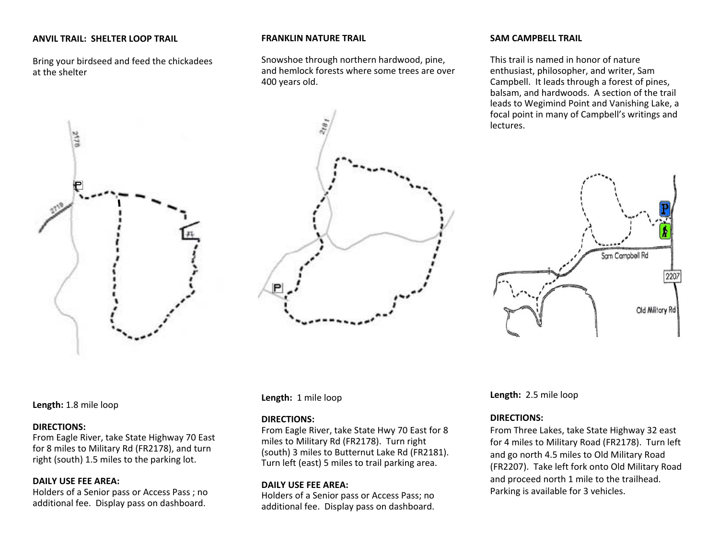#### **ANVIL TRAIL: SHELTER LOOP TRAIL**

Bring your birdseed and feed the chickadees at the shelter



#### **FRANKLIN NATURE TRAIL**

Snowshoe through northern hardwood, pine, and hemlock forests where some trees are over 400 years old.

#### **SAM CAMPBELL TRAIL**

This trail is named in honor of nature enthusiast, philosopher, and writer, Sam Campbell. It leads through <sup>a</sup> forest of pines, balsam, and hardwoods. A section of the trail leads to Wegimind Point and Vanishing Lake, <sup>a</sup> focal point in many of Campbell's writings and lectures.



#### **Length:** 1.8 mile loop

#### **DIRECTIONS:**

From Eagle River, take State Highway 70 East for 8 miles to Military Rd (FR2178), and turn right (south) 1.5 miles to the parking lot.

#### **DAILY USE FEE AREA:**

Holders of <sup>a</sup> Senior pass or Access Pass ; no additional fee. Display pass on dashboard.

**Length:** 1 mile loop

#### **DIRECTIONS:**

From Eagle River, take State Hwy 70 East for 8 miles to Military Rd (FR2178). Turn right (south) 3 miles to Butternut Lake Rd (FR2181). Turn left (east) 5 miles to trail parking area.

#### **DAILY USE FEE AREA:**

Holders of <sup>a</sup> Senior pass or Access Pass; no additional fee. Display pass on dashboard. **Length:** 2.5 mile loop

#### **DIRECTIONS:**

From Three Lakes, take State Highway 32 east for 4 miles to Military Road (FR2178). Turn left and go north 4.5 miles to Old Military Road (FR2207). Take left fork onto Old Military Road and proceed north 1 mile to the trailhead. Parking is available for 3 vehicles.